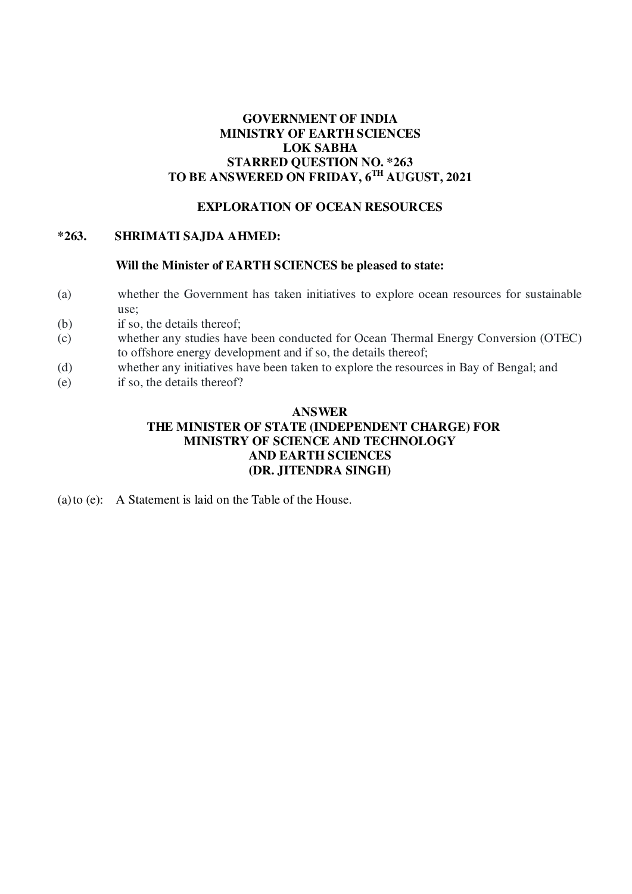# **GOVERNMENT OF INDIA MINISTRY OF EARTH SCIENCES LOK SABHA STARRED QUESTION NO. \*263 TO BE ANSWERED ON FRIDAY, 6TH AUGUST, 2021**

### **EXPLORATION OF OCEAN RESOURCES**

#### **\*263. SHRIMATI SAJDA AHMED:**

#### **Will the Minister of EARTH SCIENCES be pleased to state:**

- (a) whether the Government has taken initiatives to explore ocean resources for sustainable use;
- (b) if so, the details thereof;
- (c) whether any studies have been conducted for Ocean Thermal Energy Conversion (OTEC) to offshore energy development and if so, the details thereof;
- (d) whether any initiatives have been taken to explore the resources in Bay of Bengal; and
- (e) if so, the details thereof?

# **ANSWER THE MINISTER OF STATE (INDEPENDENT CHARGE) FOR MINISTRY OF SCIENCE AND TECHNOLOGY AND EARTH SCIENCES (DR. JITENDRA SINGH)**

(a)to (e): A Statement is laid on the Table of the House.